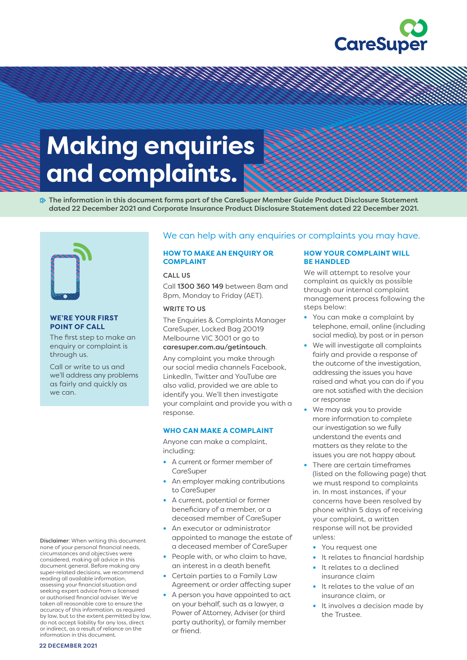

# **Making enquiries goes here. and complaints.**

 $\gg$  The information in this document forms part of the CareSuper Member Guide Product Disclosure Statement dated 22 December 2021 and Corporate Insurance Product Disclosure Statement dated 22 December 2021.

<u>e de la composição de la composição de la composição de la composição de la composição de la composição de l</u>



#### **WE'RE YOUR FIRST POINT OF CALL**

The first step to make an enquiry or complaint is through us.

 we can. Call or write to us and we'll address any problems as fairly and quickly as

Disclaimer: When writing this document none of your personal financial needs, circumstances and objectives were considered, making all advice in this document general. Before making any super-related decisions, we recommend reading all available information, assessing your financial situation and seeking expert advice from a licensed or authorised financial adviser. We've taken all reasonable care to ensure the accuracy of this information, as required by law, but to the extent permitted by law, do not accept liability for any loss, direct or indirect, as a result of reliance on the information in this document.

# We can help with any enquiries or complaints you may have.

# **HOW TO MAKE AN ENQUIRY OR COMPLAINT**

#### CALL US

Call 1300 360 149 between 8am and 8pm, Monday to Friday (AET).

## WRITE TO US

The Enquiries & Complaints Manager CareSuper, Locked Bag 20019 Melbourne VIC 3001 or go to [caresuper.com.au/getintouch](http://www.caresuper.com.au/getintouch).

Any complaint you make through our social media channels Facebook, LinkedIn, Twitter and YouTube are also valid, provided we are able to identify you. We'll then investigate your complaint and provide you with a response.

#### **WHO CAN MAKE A COMPLAINT**

Anyone can make a complaint, including:

- **•** A current or former member of CareSuper
- **•** An employer making contributions to CareSuper
- **•** A current, potential or former beneficiary of a member, or a deceased member of CareSuper
- **•** An executor or administrator appointed to manage the estate of a deceased member of CareSuper
- **•** People with, or who claim to have, an interest in a death benefit
- **•** Certain parties to a Family Law Agreement or order affecting super
- **•** A person you have appointed to act on your behalf, such as a lawyer, a Power of Attorney, Adviser (or third party authority), or family member or friend.

## **HOW YOUR COMPLAINT WILL BE HANDLED**

We will attempt to resolve your complaint as quickly as possible through our internal complaint management process following the steps below:

- **•** You can make a complaint by telephone, email, online (including social media), by post or in person
- **•** We will investigate all complaints fairly and provide a response of the outcome of the investigation, addressing the issues you have raised and what you can do if you are not satisfied with the decision or response
- **•** We may ask you to provide more information to complete our investigation so we fully understand the events and matters as they relate to the issues you are not happy about
- **•** There are certain timeframes (listed on the following page) that we must respond to complaints in. In most instances, if your concerns have been resolved by phone within 5 days of receiving your complaint, a written response will not be provided unless:
	- **•** You request one
	- **•** It relates to financial hardship
	- **•** It relates to a declined insurance claim
	- **•** It relates to the value of an insurance claim, or
	- **•** It involves a decision made by the Trustee.